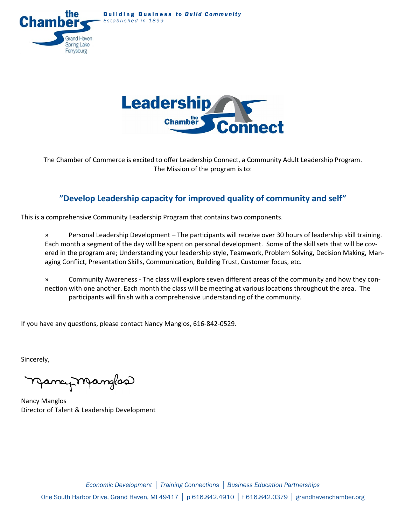**Building Business to Build Community** Established in 1899





The Chamber of Commerce is excited to offer Leadership Connect, a Community Adult Leadership Program. The Mission of the program is to:

### **"Develop Leadership capacity for improved quality of community and self"**

This is a comprehensive Community Leadership Program that contains two components.

» Personal Leadership Development – The participants will receive over 30 hours of leadership skill training. Each month a segment of the day will be spent on personal development. Some of the skill sets that will be covered in the program are; Understanding your leadership style, Teamwork, Problem Solving, Decision Making, Managing Conflict, Presentation Skills, Communication, Building Trust, Customer focus, etc.

» Community Awareness - The class will explore seven different areas of the community and how they connection with one another. Each month the class will be meeting at various locations throughout the area. The participants will finish with a comprehensive understanding of the community.

If you have any questions, please contact Nancy Manglos, 616-842-0529.

Sincerely,

njancy Manglos

Nancy Manglos Director of Talent & Leadership Development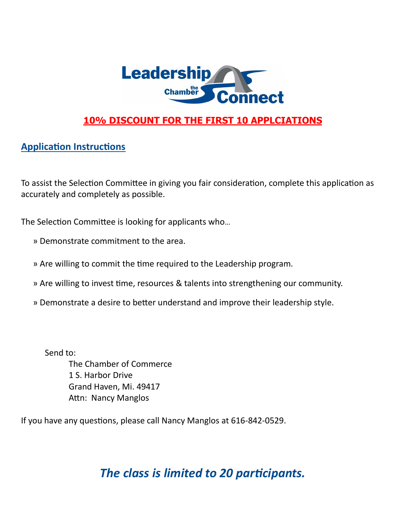

## **10% DISCOUNT FOR THE FIRST 10 APPLCIATIONS**

### **Application Instructions**

To assist the Selection Committee in giving you fair consideration, complete this application as accurately and completely as possible.

The Selection Committee is looking for applicants who…

- » Demonstrate commitment to the area.
- » Are willing to commit the time required to the Leadership program.
- » Are willing to invest time, resources & talents into strengthening our community.
- » Demonstrate a desire to better understand and improve their leadership style.

Send to: The Chamber of Commerce 1 S. Harbor Drive Grand Haven, Mi. 49417 Attn: Nancy Manglos

If you have any questions, please call Nancy Manglos at 616-842-0529.

# *The class is limited to 20 participants.*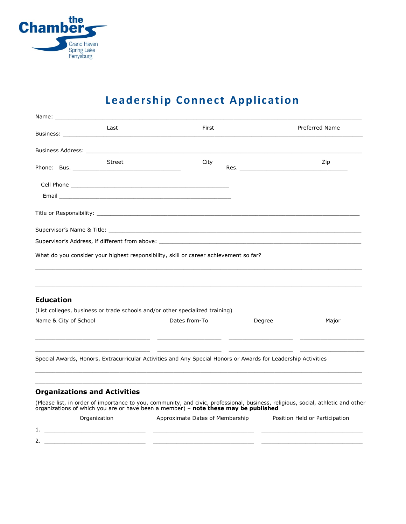

# **Leadership Connect Application**

|                                                                                                                                                                                                                                     | Last          | First                                                                                                           | Preferred Name                                                                                                                                                                                                                        |
|-------------------------------------------------------------------------------------------------------------------------------------------------------------------------------------------------------------------------------------|---------------|-----------------------------------------------------------------------------------------------------------------|---------------------------------------------------------------------------------------------------------------------------------------------------------------------------------------------------------------------------------------|
| <b>Business Address:</b> The contract of the contract of the contract of the contract of the contract of the contract of the contract of the contract of the contract of the contract of the contract of the contract of the contra |               |                                                                                                                 |                                                                                                                                                                                                                                       |
|                                                                                                                                                                                                                                     | <b>Street</b> | City                                                                                                            | Zip<br>Res. The contract of the contract of the contract of the contract of the contract of the contract of the contract of the contract of the contract of the contract of the contract of the contract of the contract of the contr |
|                                                                                                                                                                                                                                     |               |                                                                                                                 |                                                                                                                                                                                                                                       |
|                                                                                                                                                                                                                                     |               |                                                                                                                 |                                                                                                                                                                                                                                       |
|                                                                                                                                                                                                                                     |               |                                                                                                                 |                                                                                                                                                                                                                                       |
|                                                                                                                                                                                                                                     |               | Supervisor's Name & Title: Name of the state of the state of the state of the state of the state of the state o |                                                                                                                                                                                                                                       |
|                                                                                                                                                                                                                                     |               | Supervisor's Address, if different from above: _________________________________                                |                                                                                                                                                                                                                                       |
|                                                                                                                                                                                                                                     |               | What do you consider your highest responsibility, skill or career achievement so far?                           |                                                                                                                                                                                                                                       |
|                                                                                                                                                                                                                                     |               |                                                                                                                 |                                                                                                                                                                                                                                       |
|                                                                                                                                                                                                                                     |               |                                                                                                                 |                                                                                                                                                                                                                                       |
| <b>Education</b>                                                                                                                                                                                                                    |               |                                                                                                                 |                                                                                                                                                                                                                                       |
|                                                                                                                                                                                                                                     |               |                                                                                                                 |                                                                                                                                                                                                                                       |
|                                                                                                                                                                                                                                     |               | (List colleges, business or trade schools and/or other specialized training)                                    |                                                                                                                                                                                                                                       |
| Name & City of School                                                                                                                                                                                                               |               | Dates from-To                                                                                                   | Degree<br>Major                                                                                                                                                                                                                       |
|                                                                                                                                                                                                                                     |               | Special Awards, Honors, Extracurricular Activities and Any Special Honors or Awards for Leadership Activities   |                                                                                                                                                                                                                                       |
| <b>Organizations and Activities</b>                                                                                                                                                                                                 |               |                                                                                                                 |                                                                                                                                                                                                                                       |
|                                                                                                                                                                                                                                     |               | organizations of which you are or have been a member) - note these may be published                             |                                                                                                                                                                                                                                       |
|                                                                                                                                                                                                                                     | Organization  | Approximate Dates of Membership                                                                                 | Position Held or Participation                                                                                                                                                                                                        |
| 1.                                                                                                                                                                                                                                  |               |                                                                                                                 | (Please list, in order of importance to you, community, and civic, professional, business, religious, social, athletic and other                                                                                                      |